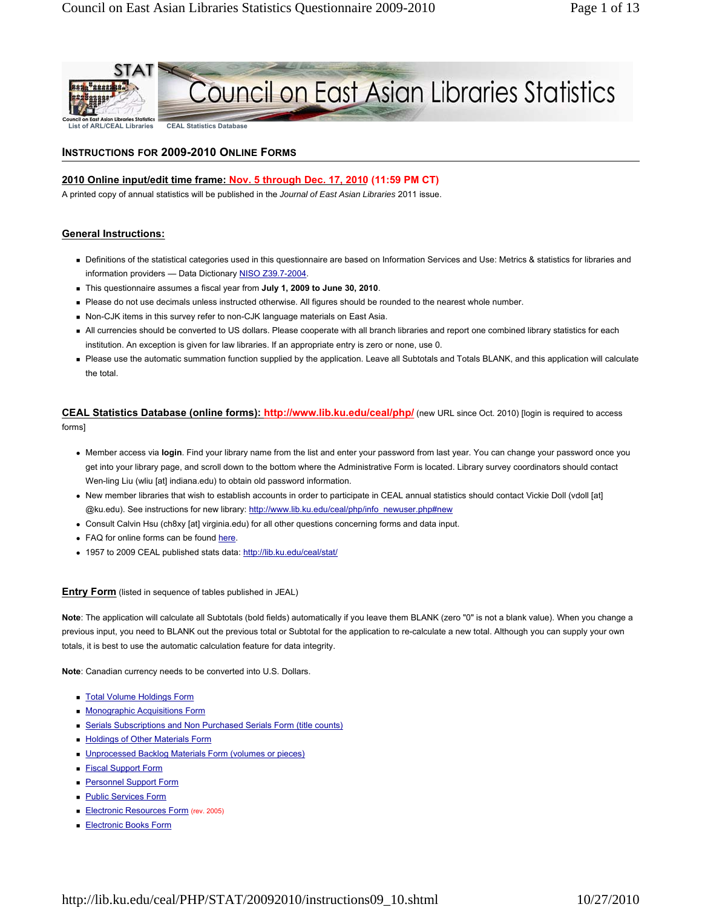

# Council on East Asian Libraries Statistics

**List of ARL/CEAL Libraries CEAL Statistics Database**

# **INSTRUCTIONS FOR 2009-2010 ONLINE FORMS**

# **2010 Online input/edit time frame: Nov. 5 through Dec. 17, 2010 (11:59 PM CT)**

A printed copy of annual statistics will be published in the *Journal of East Asian Libraries* 2011 issue.

# **General Instructions:**

- Definitions of the statistical categories used in this questionnaire are based on Information Services and Use: Metrics & statistics for libraries and information providers — Data Dictionary NISO Z39.7-2004.
- This questionnaire assumes a fiscal year from **July 1, 2009 to June 30, 2010**.
- Please do not use decimals unless instructed otherwise. All figures should be rounded to the nearest whole number.
- Non-CJK items in this survey refer to non-CJK language materials on East Asia.
- All currencies should be converted to US dollars. Please cooperate with all branch libraries and report one combined library statistics for each institution. An exception is given for law libraries. If an appropriate entry is zero or none, use 0.
- Please use the automatic summation function supplied by the application. Leave all Subtotals and Totals BLANK, and this application will calculate the total.

**CEAL Statistics Database (online forms): http://www.lib.ku.edu/ceal/php/** (new URL since Oct. 2010) [login is required to access forms]

- Member access via **login**. Find your library name from the list and enter your password from last year. You can change your password once you get into your library page, and scroll down to the bottom where the Administrative Form is located. Library survey coordinators should contact Wen-ling Liu (wliu [at] indiana.edu) to obtain old password information.
- New member libraries that wish to establish accounts in order to participate in CEAL annual statistics should contact Vickie Doll (vdoll [at] @ku.edu). See instructions for new library: http://www.lib.ku.edu/ceal/php/info\_newuser.php#new
- Consult Calvin Hsu (ch8xy [at] virginia.edu) for all other questions concerning forms and data input.
- FAQ for online forms can be found here.
- 1957 to 2009 CEAL published stats data: http://lib.ku.edu/ceal/stat/

**Entry Form** (listed in sequence of tables published in JEAL)

**Note**: The application will calculate all Subtotals (bold fields) automatically if you leave them BLANK (zero "0" is not a blank value). When you change a previous input, you need to BLANK out the previous total or Subtotal for the application to re-calculate a new total. Although you can supply your own totals, it is best to use the automatic calculation feature for data integrity.

**Note**: Canadian currency needs to be converted into U.S. Dollars.

- **Total Volume Holdings Form**
- **Monographic Acquisitions Form**
- **Example 3** Serials Subscriptions and Non Purchased Serials Form (title counts)
- **Holdings of Other Materials Form**
- **Unprocessed Backlog Materials Form (volumes or pieces)**
- **Fiscal Support Form**
- **Personnel Support Form**
- **Public Services Form**
- Electronic Resources Form (rev. 2005)
- **Electronic Books Form**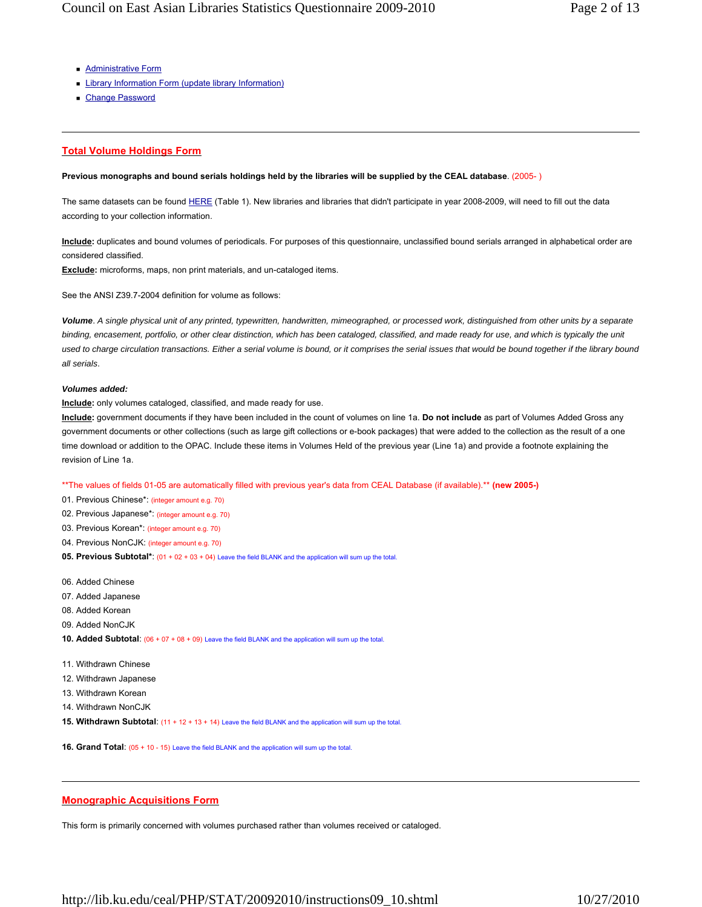- **Administrative Form**
- **Library Information Form (update library Information)**
- Change Password

# **Total Volume Holdings Form**

# **Previous monographs and bound serials holdings held by the libraries will be supplied by the CEAL database**. (2005- )

The same datasets can be found HERE (Table 1). New libraries and libraries that didn't participate in year 2008-2009, will need to fill out the data according to your collection information.

**Include:** duplicates and bound volumes of periodicals. For purposes of this questionnaire, unclassified bound serials arranged in alphabetical order are considered classified.

**Exclude:** microforms, maps, non print materials, and un-cataloged items.

See the ANSI Z39.7-2004 definition for volume as follows:

*Volume*. *A single physical unit of any printed, typewritten, handwritten, mimeographed, or processed work, distinguished from other units by a separate*  binding, encasement, portfolio, or other clear distinction, which has been cataloged, classified, and made ready for use, and which is typically the unit *used to charge circulation transactions. Either a serial volume is bound, or it comprises the serial issues that would be bound together if the library bound all serials*.

## *Volumes added:*

**Include:** only volumes cataloged, classified, and made ready for use.

**Include:** government documents if they have been included in the count of volumes on line 1a. **Do not include** as part of Volumes Added Gross any government documents or other collections (such as large gift collections or e-book packages) that were added to the collection as the result of a one time download or addition to the OPAC. Include these items in Volumes Held of the previous year (Line 1a) and provide a footnote explaining the revision of Line 1a.

\*\*The values of fields 01-05 are automatically filled with previous year's data from CEAL Database (if available).\*\* **(new 2005-)**

- 01. Previous Chinese\*: (integer amount e.g. 70)
- 02. Previous Japanese\*: (integer amount e.g. 70)
- 03. Previous Korean\*: (integer amount e.g. 70)
- 04. Previous NonCJK: (integer amount e.g. 70)
- **05. Previous Subtotal\***: (01 + 02 + 03 + 04) Leave the field BLANK and the application will sum up the total.
- 06. Added Chinese
- 07. Added Japanese
- 08. Added Korean
- 09. Added NonCJK
- **10. Added Subtotal**: (06 + 07 + 08 + 09) Leave the field BLANK and the application will sum up the total.
- 11. Withdrawn Chinese
- 12. Withdrawn Japanese
- 13. Withdrawn Korean
- 14. Withdrawn NonCJK
- **15. Withdrawn Subtotal**: (11 + 12 + 13 + 14) Leave the field BLANK and the application will sum up the total.

**16. Grand Total:** (05 + 10 - 15) Leave the field BLANK and the application will sum up the total

## **Monographic Acquisitions Form**

This form is primarily concerned with volumes purchased rather than volumes received or cataloged.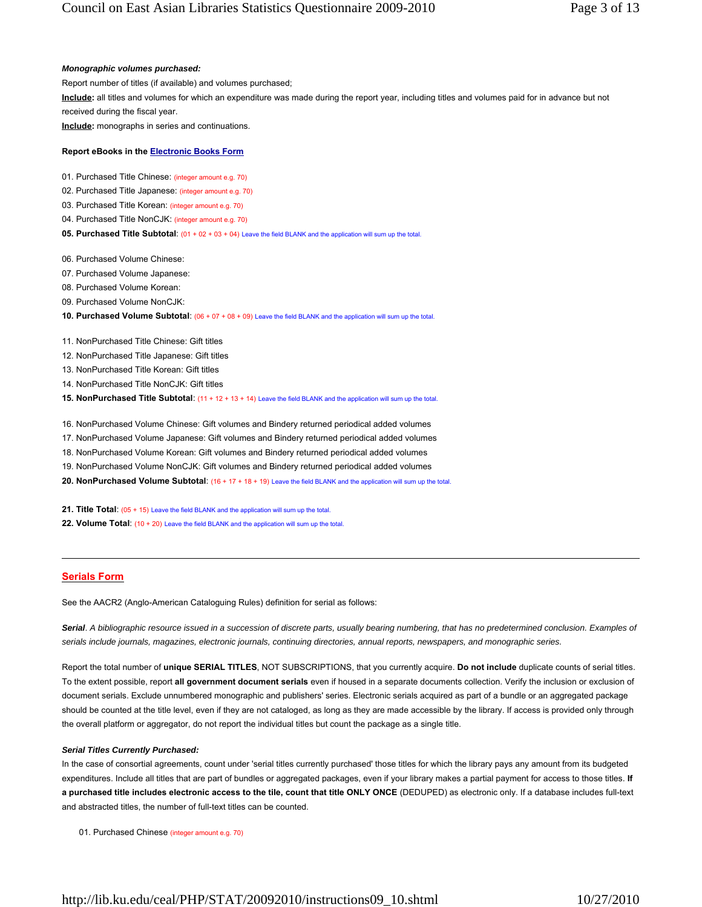*Monographic volumes purchased:* Report number of titles (if available) and volumes purchased; **Include:** all titles and volumes for which an expenditure was made during the report year, including titles and volumes paid for in advance but not received during the fiscal year. **Include:** monographs in series and continuations. **Report eBooks in the Electronic Books Form** 01. Purchased Title Chinese: (integer amount e.g. 70) 02. Purchased Title Japanese: (integer amount e.g. 70) 03. Purchased Title Korean: (integer amount e.g. 70) 04. Purchased Title NonCJK: (integer amount e.g. 70) **05. Purchased Title Subtotal:** (01 + 02 + 03 + 04) Leave the field BLANK and the application will sum up the total. 06. Purchased Volume Chinese: 07. Purchased Volume Japanese:

- 08. Purchased Volume Korean:
- 09. Purchased Volume NonCJK:
- **10. Purchased Volume Subtotal**: (06 + 07 + 08 + 09) Leave the field BLANK and the application will sum up the total.
- 11. NonPurchased Title Chinese: Gift titles
- 12. NonPurchased Title Japanese: Gift titles
- 13. NonPurchased Title Korean: Gift titles
- 14. NonPurchased Title NonCJK: Gift titles
- **15. NonPurchased Title Subtotal:** (11 + 12 + 13 + 14) Leave the field BLANK and the application will sum up the total.
- 16. NonPurchased Volume Chinese: Gift volumes and Bindery returned periodical added volumes
- 17. NonPurchased Volume Japanese: Gift volumes and Bindery returned periodical added volumes
- 18. NonPurchased Volume Korean: Gift volumes and Bindery returned periodical added volumes
- 19. NonPurchased Volume NonCJK: Gift volumes and Bindery returned periodical added volumes
- **20. NonPurchased Volume Subtotal**: (16 + 17 + 18 + 19) Leave the field BLANK and the application will sum up the total.
- 21. Title Total: (05 + 15) Leave the field BLANK and the application will sum up the total.
- 22. Volume Total: (10 + 20) Leave the field BLANK and the application will sum up the total.

## **Serials Form**

See the AACR2 (Anglo-American Cataloguing Rules) definition for serial as follows:

Serial. A bibliographic resource issued in a succession of discrete parts, usually bearing numbering, that has no predetermined conclusion. Examples of *serials include journals, magazines, electronic journals, continuing directories, annual reports, newspapers, and monographic series.*

Report the total number of **unique SERIAL TITLES**, NOT SUBSCRIPTIONS, that you currently acquire. **Do not include** duplicate counts of serial titles. To the extent possible, report **all government document serials** even if housed in a separate documents collection. Verify the inclusion or exclusion of document serials. Exclude unnumbered monographic and publishers' series. Electronic serials acquired as part of a bundle or an aggregated package should be counted at the title level, even if they are not cataloged, as long as they are made accessible by the library. If access is provided only through the overall platform or aggregator, do not report the individual titles but count the package as a single title.

## *Serial Titles Currently Purchased:*

In the case of consortial agreements, count under 'serial titles currently purchased' those titles for which the library pays any amount from its budgeted expenditures. Include all titles that are part of bundles or aggregated packages, even if your library makes a partial payment for access to those titles. **If a purchased title includes electronic access to the tile, count that title ONLY ONCE** (DEDUPED) as electronic only. If a database includes full-text and abstracted titles, the number of full-text titles can be counted.

01. Purchased Chinese (integer amount e.g. 70)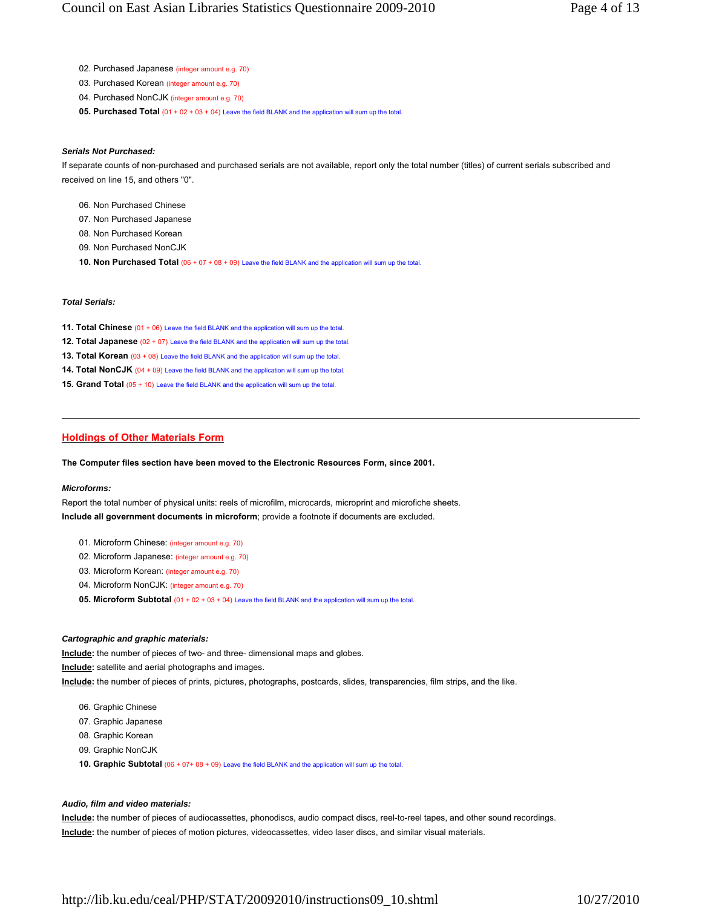- 02. Purchased Japanese (integer amount e.g. 70)
- 03. Purchased Korean (integer amount e.g. 70)
- 04. Purchased NonCJK (integer amount e.g. 70)
- **05. Purchased Total** (01 + 02 + 03 + 04) Leave the field BLANK and the application will sum up the total

# *Serials Not Purchased:*

If separate counts of non-purchased and purchased serials are not available, report only the total number (titles) of current serials subscribed and received on line 15, and others "0".

- 06. Non Purchased Chinese
- 07. Non Purchased Japanese
- 08. Non Purchased Korean
- 09. Non Purchased NonCJK
- **10. Non Purchased Total** (06 + 07 + 08 + 09) Leave the field BLANK and the application will sum up the total

## *Total Serials:*

- 11. Total Chinese (01 + 06) Leave the field BLANK and the application will sum up the total.
- **12. Total Japanese** (02 + 07) Leave the field BLANK and the application will sum up the total.
- **13. Total Korean** (03 + 08) Leave the field BLANK and the application will sum up the total.
- **14. Total NonCJK** (04 + 09) Leave the field BLANK and the application will sum up the total.
- **15. Grand Total** (05 + 10) Leave the field BLANK and the application will sum up the total.

# **Holdings of Other Materials Form**

## **The Computer files section have been moved to the Electronic Resources Form, since 2001.**

## *Microforms:*

Report the total number of physical units: reels of microfilm, microcards, microprint and microfiche sheets. **Include all government documents in microform**; provide a footnote if documents are excluded.

- 01. Microform Chinese: (integer amount e.g. 70)
- 02. Microform Japanese: (integer amount e.g. 70)
- 03. Microform Korean: (integer amount e.g. 70)
- 04. Microform NonCJK: (integer amount e.g. 70)
- **05. Microform Subtotal** (01 + 02 + 03 + 04) Leave the field BLANK and the application will sum up the total.

## *Cartographic and graphic materials:*

**Include:** the number of pieces of two- and three- dimensional maps and globes.

**Include:** satellite and aerial photographs and images.

**Include:** the number of pieces of prints, pictures, photographs, postcards, slides, transparencies, film strips, and the like.

- 06. Graphic Chinese
- 07. Graphic Japanese
- 08. Graphic Korean
- 09. Graphic NonCJK
- **10. Graphic Subtotal** (06 + 07+ 08 + 09) Leave the field BLANK and the application will sum up the total

## *Audio, film and video materials:*

**Include:** the number of pieces of audiocassettes, phonodiscs, audio compact discs, reel-to-reel tapes, and other sound recordings. **Include:** the number of pieces of motion pictures, videocassettes, video laser discs, and similar visual materials.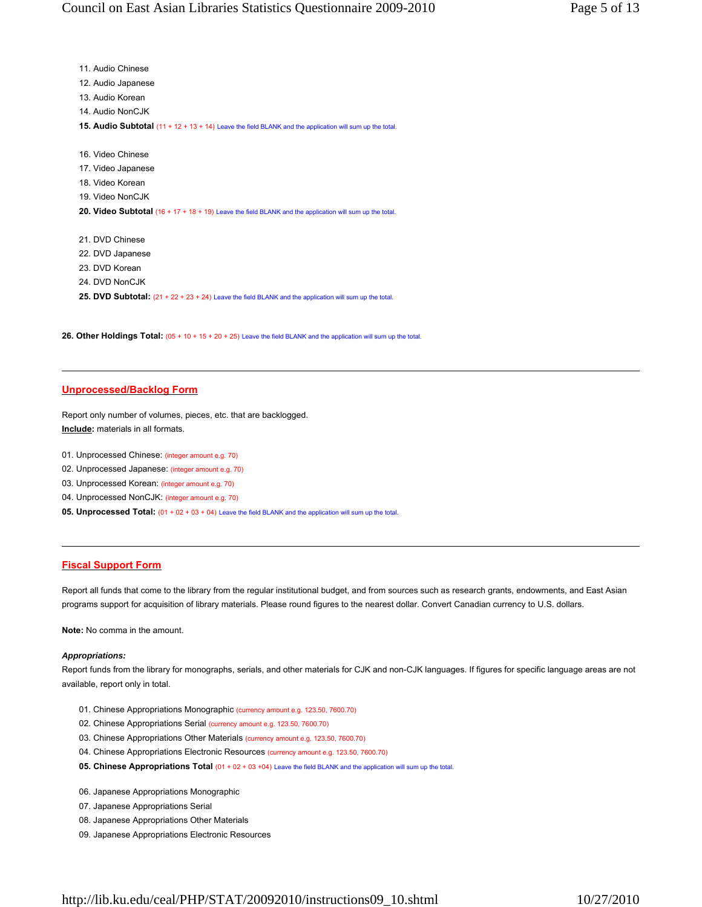| 11. Audio Chinese                                                                                       |
|---------------------------------------------------------------------------------------------------------|
| 12. Audio Japanese                                                                                      |
| 13. Audio Korean                                                                                        |
| 14. Audio NonCJK                                                                                        |
| 15. Audio Subtotal (11 + 12 + 13 + 14) Leave the field BLANK and the application will sum up the total. |
|                                                                                                         |
| 16. Video Chinese                                                                                       |
| 17. Video Japanese                                                                                      |
| 18. Video Korean                                                                                        |
| 19. Video NonCJK                                                                                        |
| 20. Video Subtotal (16 + 17 + 18 + 19) Leave the field BLANK and the application will sum up the total. |
|                                                                                                         |
| 21. DVD Chinese                                                                                         |
| 22. DVD Japanese                                                                                        |
| 23. DVD Korean                                                                                          |
| 24. DVD NonCJK                                                                                          |
| 25. DVD Subtotal: (21 + 22 + 23 + 24) Leave the field BLANK and the application will sum up the total.  |

**26. Other Holdings Total:** (05 + 10 + 15 + 20 + 25) Leave the field BLANK and the application will sum up the total.

## **Unprocessed/Backlog Form**

Report only number of volumes, pieces, etc. that are backlogged. **Include:** materials in all formats.

- 01. Unprocessed Chinese: (integer amount e.g. 70)
- 02. Unprocessed Japanese: (integer amount e.g. 70)
- 03. Unprocessed Korean: (integer amount e.g. 70)
- 04. Unprocessed NonCJK: (integer amount e.g. 70)
- **05. Unprocessed Total:** (01 + 02 + 03 + 04) Leave the field BLANK and the application will sum up the total.

# **Fiscal Support Form**

Report all funds that come to the library from the regular institutional budget, and from sources such as research grants, endowments, and East Asian programs support for acquisition of library materials. Please round figures to the nearest dollar. Convert Canadian currency to U.S. dollars.

**Note:** No comma in the amount.

## *Appropriations:*

Report funds from the library for monographs, serials, and other materials for CJK and non-CJK languages. If figures for specific language areas are not available, report only in total.

- 01. Chinese Appropriations Monographic (currency amount e.g. 123.50, 7600.70)
- 02. Chinese Appropriations Serial (currency amount e.g. 123.50, 7600.70)
- 03. Chinese Appropriations Other Materials (currency amount e.g. 123.50, 7600.70)
- 04. Chinese Appropriations Electronic Resources (currency amount e.g. 123.50, 7600.70)
- **05. Chinese Appropriations Total** (01 + 02 + 03 +04) Leave the field BLANK and the application will sum up the total.
- 06. Japanese Appropriations Monographic
- 07. Japanese Appropriations Serial
- 08. Japanese Appropriations Other Materials
- 09. Japanese Appropriations Electronic Resources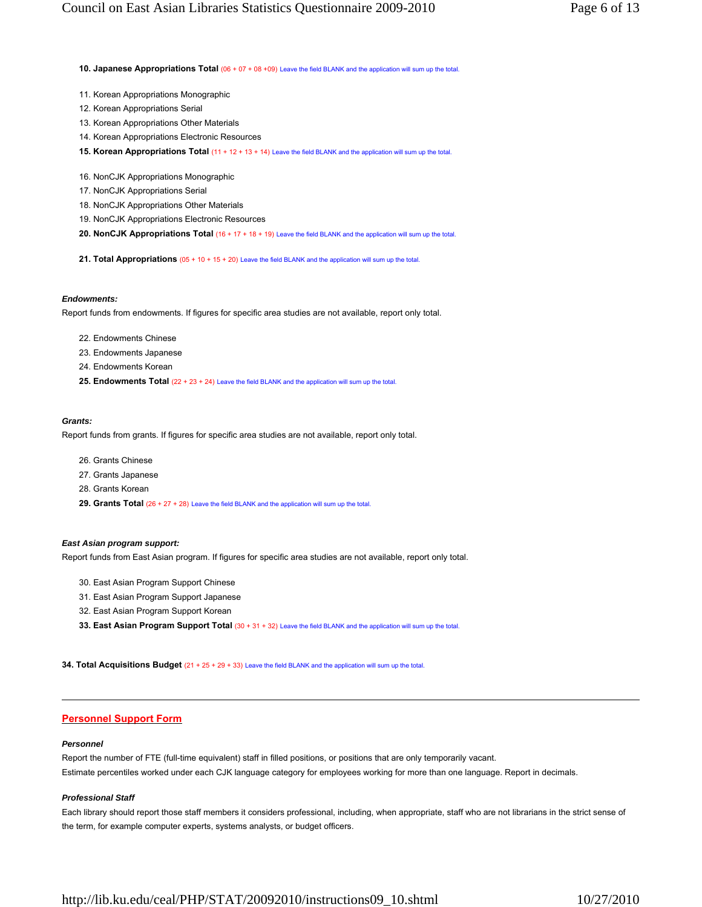**10. Japanese Appropriations Total** (06 + 07 + 08 +09) Leave the field BLANK and the application will sum up the total

- 11. Korean Appropriations Monographic
- 12. Korean Appropriations Serial
- 13. Korean Appropriations Other Materials
- 14. Korean Appropriations Electronic Resources
- **15. Korean Appropriations Total** (11 + 12 + 13 + 14) Leave the field BLANK and the application will sum up the total.
- 16. NonCJK Appropriations Monographic
- 17. NonCJK Appropriations Serial
- 18. NonCJK Appropriations Other Materials
- 19. NonCJK Appropriations Electronic Resources
- **20. NonCJK Appropriations Total** (16 + 17 + 18 + 19) Leave the field BLANK and the application will sum up the total.
- **21. Total Appropriations** (05 + 10 + 15 + 20) Leave the field BLANK and the application will sum up the total.

#### *Endowments:*

Report funds from endowments. If figures for specific area studies are not available, report only total.

- 22. Endowments Chinese
- 23. Endowments Japanese
- 24. Endowments Korean
- **25. Endowments Total** (22 + 23 + 24) Leave the field BLANK and the application will sum up the total.

# *Grants:*

Report funds from grants. If figures for specific area studies are not available, report only total.

- 26. Grants Chinese
- 27. Grants Japanese
- 28. Grants Korean
- 29. Grants Total (26 + 27 + 28) Leave the field BLANK and the application will sum up the total

#### *East Asian program support:*

Report funds from East Asian program. If figures for specific area studies are not available, report only total.

- 30. East Asian Program Support Chinese
- 31. East Asian Program Support Japanese
- 32. East Asian Program Support Korean
- **33. East Asian Program Support Total** (30 + 31 + 32) Leave the field BLANK and the application will sum up the total.

**34. Total Acquisitions Budget** (21 + 25 + 29 + 33) Leave the field BLANK and the application will sum up the total.

## **Personnel Support Form**

#### *Personnel*

Report the number of FTE (full-time equivalent) staff in filled positions, or positions that are only temporarily vacant. Estimate percentiles worked under each CJK language category for employees working for more than one language. Report in decimals.

#### *Professional Staff*

Each library should report those staff members it considers professional, including, when appropriate, staff who are not librarians in the strict sense of the term, for example computer experts, systems analysts, or budget officers.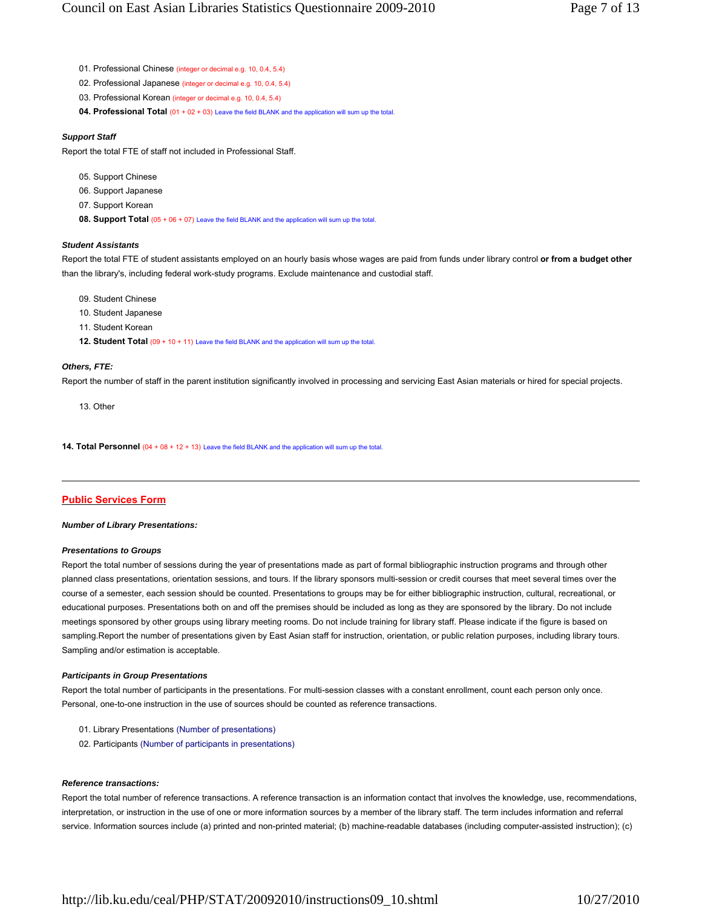- 01. Professional Chinese (integer or decimal e.g. 10, 0.4, 5.4)
- 02. Professional Japanese (integer or decimal e.g. 10, 0.4, 5.4)
- 03. Professional Korean (integer or decimal e.g. 10, 0.4, 5.4)
- **04. Professional Total** (01 + 02 + 03) Leave the field BLANK and the application will sum up the total.

## *Support Staff*

Report the total FTE of staff not included in Professional Staff.

- 05. Support Chinese
- 06. Support Japanese
- 07. Support Korean
- **08. Support Total** (05 + 06 + 07) Leave the field BLANK and the application will sum up the total

## *Student Assistants*

Report the total FTE of student assistants employed on an hourly basis whose wages are paid from funds under library control **or from a budget other** than the library's, including federal work-study programs. Exclude maintenance and custodial staff.

- 09. Student Chinese
- 10. Student Japanese
- 11. Student Korean
- 12. Student Total (09 + 10 + 11) Leave the field BLANK and the application will sum up the total

#### *Others, FTE:*

Report the number of staff in the parent institution significantly involved in processing and servicing East Asian materials or hired for special projects.

13. Other

**14. Total Personnel** (04 + 08 + 12 + 13) Leave the field BLANK and the application will sum up the total

# **Public Services Form**

#### *Number of Library Presentations:*

#### *Presentations to Groups*

Report the total number of sessions during the year of presentations made as part of formal bibliographic instruction programs and through other planned class presentations, orientation sessions, and tours. If the library sponsors multi-session or credit courses that meet several times over the course of a semester, each session should be counted. Presentations to groups may be for either bibliographic instruction, cultural, recreational, or educational purposes. Presentations both on and off the premises should be included as long as they are sponsored by the library. Do not include meetings sponsored by other groups using library meeting rooms. Do not include training for library staff. Please indicate if the figure is based on sampling.Report the number of presentations given by East Asian staff for instruction, orientation, or public relation purposes, including library tours. Sampling and/or estimation is acceptable.

#### *Participants in Group Presentations*

Report the total number of participants in the presentations. For multi-session classes with a constant enrollment, count each person only once. Personal, one-to-one instruction in the use of sources should be counted as reference transactions.

- 01. Library Presentations (Number of presentations)
- 02. Participants (Number of participants in presentations)

## *Reference transactions:*

Report the total number of reference transactions. A reference transaction is an information contact that involves the knowledge, use, recommendations, interpretation, or instruction in the use of one or more information sources by a member of the library staff. The term includes information and referral service. Information sources include (a) printed and non-printed material; (b) machine-readable databases (including computer-assisted instruction); (c)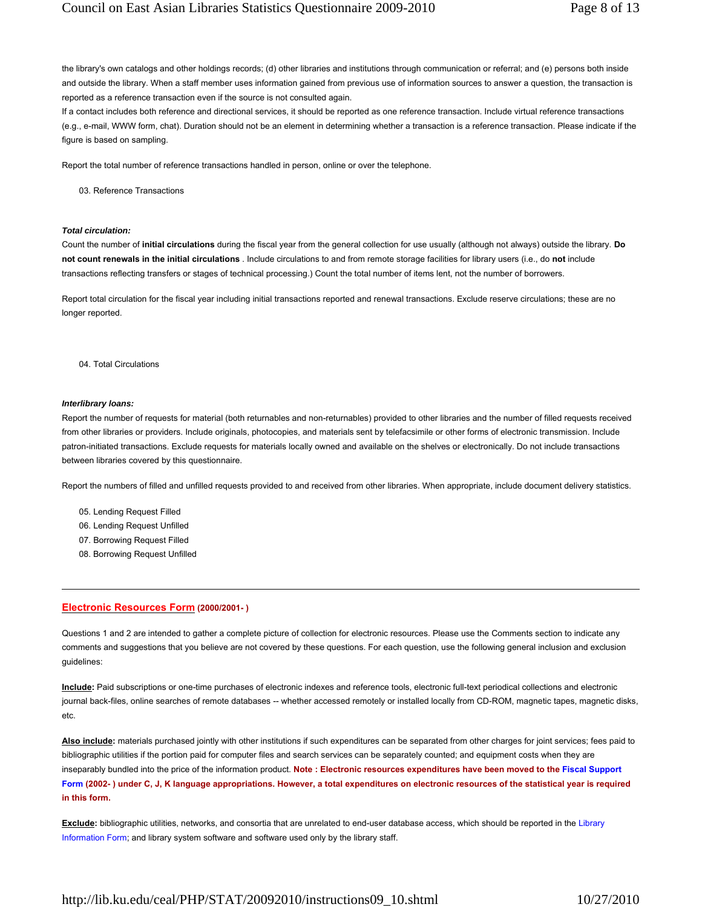the library's own catalogs and other holdings records; (d) other libraries and institutions through communication or referral; and (e) persons both inside and outside the library. When a staff member uses information gained from previous use of information sources to answer a question, the transaction is reported as a reference transaction even if the source is not consulted again.

If a contact includes both reference and directional services, it should be reported as one reference transaction. Include virtual reference transactions (e.g., e-mail, WWW form, chat). Duration should not be an element in determining whether a transaction is a reference transaction. Please indicate if the figure is based on sampling.

Report the total number of reference transactions handled in person, online or over the telephone.

03. Reference Transactions

## *Total circulation:*

Count the number of **initial circulations** during the fiscal year from the general collection for use usually (although not always) outside the library. **Do not count renewals in the initial circulations** . Include circulations to and from remote storage facilities for library users (i.e., do **not** include transactions reflecting transfers or stages of technical processing.) Count the total number of items lent, not the number of borrowers.

Report total circulation for the fiscal year including initial transactions reported and renewal transactions. Exclude reserve circulations; these are no longer reported.

#### 04. Total Circulations

#### *Interlibrary loans:*

Report the number of requests for material (both returnables and non-returnables) provided to other libraries and the number of filled requests received from other libraries or providers. Include originals, photocopies, and materials sent by telefacsimile or other forms of electronic transmission. Include patron-initiated transactions. Exclude requests for materials locally owned and available on the shelves or electronically. Do not include transactions between libraries covered by this questionnaire.

Report the numbers of filled and unfilled requests provided to and received from other libraries. When appropriate, include document delivery statistics.

- 05. Lending Request Filled
- 06. Lending Request Unfilled
- 07. Borrowing Request Filled
- 08. Borrowing Request Unfilled

## **Electronic Resources Form (2000/2001- )**

Questions 1 and 2 are intended to gather a complete picture of collection for electronic resources. Please use the Comments section to indicate any comments and suggestions that you believe are not covered by these questions. For each question, use the following general inclusion and exclusion guidelines:

**Include:** Paid subscriptions or one-time purchases of electronic indexes and reference tools, electronic full-text periodical collections and electronic journal back-files, online searches of remote databases -- whether accessed remotely or installed locally from CD-ROM, magnetic tapes, magnetic disks, etc.

**Also include:** materials purchased jointly with other institutions if such expenditures can be separated from other charges for joint services; fees paid to bibliographic utilities if the portion paid for computer files and search services can be separately counted; and equipment costs when they are inseparably bundled into the price of the information product. **Note : Electronic resources expenditures have been moved to the Fiscal Support Form (2002- ) under C, J, K language appropriations. However, a total expenditures on electronic resources of the statistical year is required in this form.**

**Exclude:** bibliographic utilities, networks, and consortia that are unrelated to end-user database access, which should be reported in the Library Information Form; and library system software and software used only by the library staff.

http://lib.ku.edu/ceal/PHP/STAT/20092010/instructions09\_10.shtml 10/27/2010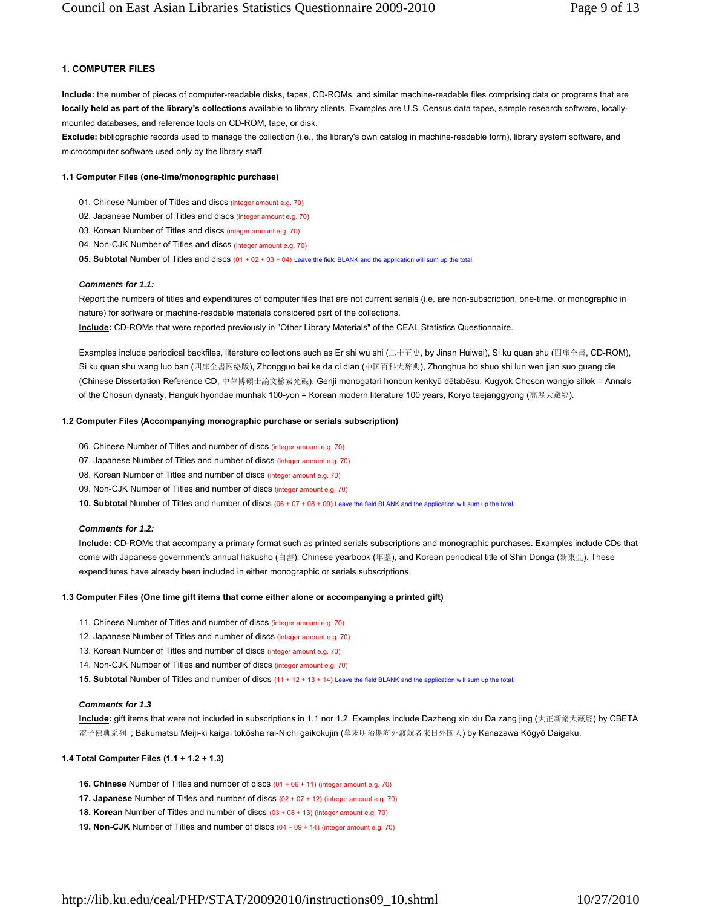# **1. COMPUTER FILES**

**Include:** the number of pieces of computer-readable disks, tapes, CD-ROMs, and similar machine-readable files comprising data or programs that are **locally held as part of the library's collections** available to library clients. Examples are U.S. Census data tapes, sample research software, locallymounted databases, and reference tools on CD-ROM, tape, or disk.

**Exclude:** bibliographic records used to manage the collection (i.e., the library's own catalog in machine-readable form), library system software, and microcomputer software used only by the library staff.

# **1.1 Computer Files (one-time/monographic purchase)**

- 01. Chinese Number of Titles and discs (integer amount e.g. 70)
- 02. Japanese Number of Titles and discs (integer amount e.g. 70)
- 03. Korean Number of Titles and discs (integer amount e.g. 70)
- 04. Non-CJK Number of Titles and discs (integer amount e.g. 70)
- **05. Subtotal** Number of Titles and discs (01 + 02 + 03 + 04) Leave the field BLANK and the application will sum up the total.

# *Comments for 1.1:*

Report the numbers of titles and expenditures of computer files that are not current serials (i.e. are non-subscription, one-time, or monographic in nature) for software or machine-readable materials considered part of the collections.

**Include:** CD-ROMs that were reported previously in "Other Library Materials" of the CEAL Statistics Questionnaire.

Examples include periodical backfiles, literature collections such as Er shi wu shi (二十五史, by Jinan Huiwei), Si ku quan shu (四庫全書, CD-ROM), Si ku quan shu wang luo ban (四庫全書网絡版), Zhongguo bai ke da ci dian (中国百科大辞典), Zhonghua bo shuo shi lun wen jian suo guang die (Chinese Dissertation Reference CD, 中華博碩士論文檢索光碟), Genji monogatari honbun kenkyū dētabēsu, Kugyok Choson wangjo sillok = Annals of the Chosun dynasty, Hanguk hyondae munhak 100-yon = Korean modern literature 100 years, Koryo taejanggyong (高麗大藏經).

# **1.2 Computer Files (Accompanying monographic purchase or serials subscription)**

06. Chinese Number of Titles and number of discs (integer amount e.g. 70)

- 07. Japanese Number of Titles and number of discs (integer amount e.g. 70)
- 08. Korean Number of Titles and number of discs (integer amount e.g. 70)
- 09. Non-CJK Number of Titles and number of discs (integer amount e.g. 70)

**10. Subtotal** Number of Titles and number of discs (06 + 07 + 08 + 09) Leave the field BLANK and the application will sum up the total.

# *Comments for 1.2:*

**Include:** CD-ROMs that accompany a primary format such as printed serials subscriptions and monographic purchases. Examples include CDs that come with Japanese government's annual hakusho (白書), Chinese yearbook (年鉴), and Korean periodical title of Shin Donga (新東亞). These expenditures have already been included in either monographic or serials subscriptions.

# **1.3 Computer Files (One time gift items that come either alone or accompanying a printed gift)**

- 11. Chinese Number of Titles and number of discs (integer amount e.g. 70)
- 12. Japanese Number of Titles and number of discs (integer amount e.g. 70)
- 13. Korean Number of Titles and number of discs (integer amount e.g. 70)
- 14. Non-CJK Number of Titles and number of discs (integer amount e.g. 70)

15. Subtotal Number of Titles and number of discs (11 + 12 + 13 + 14) Leave the field BLANK and the application will sum up the total.

# *Comments for 1.3*

**Include:** gift items that were not included in subscriptions in 1.1 nor 1.2. Examples include Dazheng xin xiu Da zang jing (大正新脩大藏經) by CBETA 電子佛典系列; Bakumatsu Meiji-ki kaigai tokōsha rai-Nichi gaikokujin (幕末明治期海外渡航者来日外国人) by Kanazawa Kōgyō Daigaku.

# **1.4 Total Computer Files (1.1 + 1.2 + 1.3)**

- **16. Chinese** Number of Titles and number of discs (01 + 06 + 11) (integer amount e.g. 70)
- **17. Japanese** Number of Titles and number of discs (02 + 07 + 12) (integer amount e.g. 70)
- **18. Korean** Number of Titles and number of discs (03 + 08 + 13) (integer amount e.g. 70)
- **19. Non-CJK** Number of Titles and number of discs (04 + 09 + 14) (integer amount e.g. 70)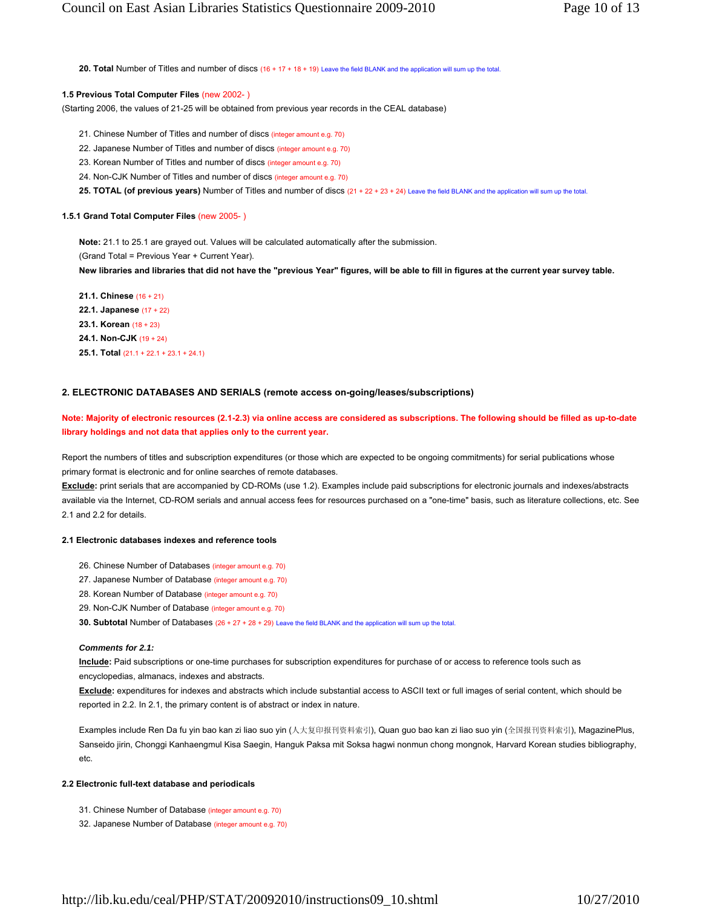**20. Total** Number of Titles and number of discs (16 + 17 + 18 + 19) Leave the field BLANK and the application will sum up the total.

#### **1.5 Previous Total Computer Files** (new 2002- )

(Starting 2006, the values of 21-25 will be obtained from previous year records in the CEAL database)

21. Chinese Number of Titles and number of discs (integer amount e.g. 70)

22. Japanese Number of Titles and number of discs (integer amount e.g. 70)

23. Korean Number of Titles and number of discs (integer amount e.g. 70)

24. Non-CJK Number of Titles and number of discs (integer amount e.g. 70)

25. TOTAL (of previous years) Number of Titles and number of discs (21 + 22 + 23 + 24) Leave the field BLANK and the application will sum up the total.

#### **1.5.1 Grand Total Computer Files** (new 2005- )

**Note:** 21.1 to 25.1 are grayed out. Values will be calculated automatically after the submission. (Grand Total = Previous Year + Current Year).

**New libraries and libraries that did not have the "previous Year" figures, will be able to fill in figures at the current year survey table.**

**21.1. Chinese** (16 + 21) **22.1. Japanese** (17 + 22) **23.1. Korean** (18 + 23) **24.1. Non-CJK** (19 + 24) **25.1. Total** (21.1 + 22.1 + 23.1 + 24.1)

## **2. ELECTRONIC DATABASES AND SERIALS (remote access on-going/leases/subscriptions)**

**Note: Majority of electronic resources (2.1-2.3) via online access are considered as subscriptions. The following should be filled as up-to-date library holdings and not data that applies only to the current year.**

Report the numbers of titles and subscription expenditures (or those which are expected to be ongoing commitments) for serial publications whose primary format is electronic and for online searches of remote databases.

**Exclude:** print serials that are accompanied by CD-ROMs (use 1.2). Examples include paid subscriptions for electronic journals and indexes/abstracts available via the Internet, CD-ROM serials and annual access fees for resources purchased on a "one-time" basis, such as literature collections, etc. See 2.1 and 2.2 for details.

## **2.1 Electronic databases indexes and reference tools**

- 26. Chinese Number of Databases (integer amount e.g. 70)
- 27. Japanese Number of Database (integer amount e.g. 70)
- 28. Korean Number of Database (integer amount e.g. 70)
- 29. Non-CJK Number of Database (integer amount e.g. 70)

**30. Subtotal** Number of Databases (26 + 27 + 28 + 29) Leave the field BLANK and the application will sum up the total.

#### *Comments for 2.1:*

**Include:** Paid subscriptions or one-time purchases for subscription expenditures for purchase of or access to reference tools such as encyclopedias, almanacs, indexes and abstracts.

**Exclude:** expenditures for indexes and abstracts which include substantial access to ASCII text or full images of serial content, which should be reported in 2.2. In 2.1, the primary content is of abstract or index in nature.

Examples include Ren Da fu yin bao kan zi liao suo yin (人大复印报刊资料索引), Quan guo bao kan zi liao suo yin (全国报刊资料索引), MagazinePlus, Sanseido jirin, Chonggi Kanhaengmul Kisa Saegin, Hanguk Paksa mit Soksa hagwi nonmun chong mongnok, Harvard Korean studies bibliography, etc.

#### **2.2 Electronic full-text database and periodicals**

- 31. Chinese Number of Database (integer amount e.g. 70)
- 32. Japanese Number of Database (integer amount e.g. 70)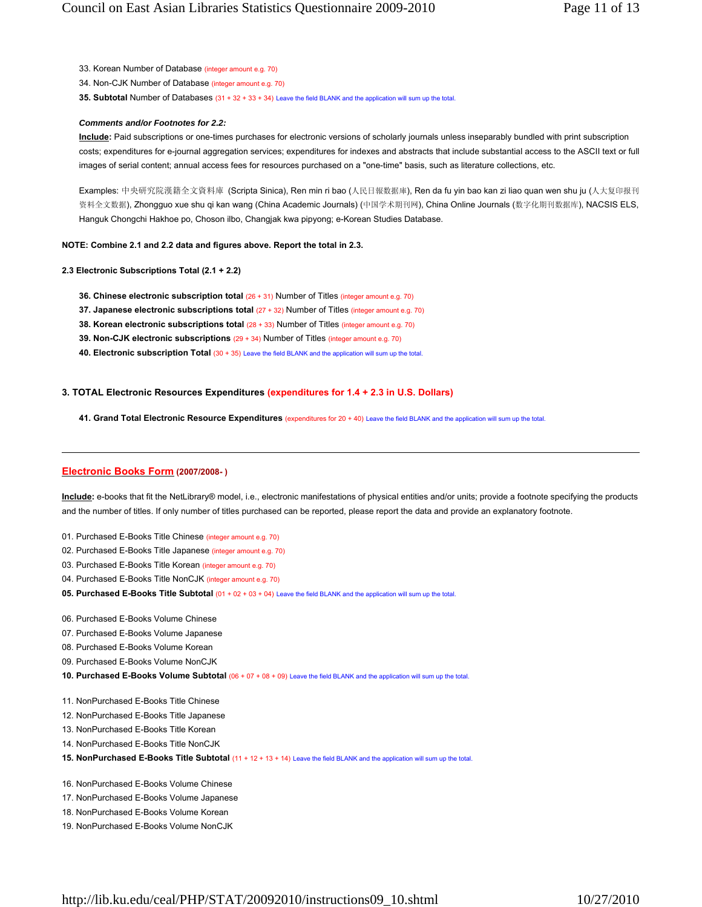- 33. Korean Number of Database (integer amount e.g. 70)
- 34. Non-CJK Number of Database (integer amount e.g. 70)

**35. Subtotal** Number of Databases (31 + 32 + 33 + 34) Leave the field BLANK and the application will sum up the total.

#### *Comments and/or Footnotes for 2.2:*

**Include:** Paid subscriptions or one-times purchases for electronic versions of scholarly journals unless inseparably bundled with print subscription costs; expenditures for e-journal aggregation services; expenditures for indexes and abstracts that include substantial access to the ASCII text or full images of serial content; annual access fees for resources purchased on a "one-time" basis, such as literature collections, etc.

Examples: 中央研究院漢籍全文資料庫 (Scripta Sinica), Ren min ri bao (人民日報数据庫), Ren da fu yin bao kan zi liao quan wen shu ju (人大复印报刊 资料全文数据), Zhongguo xue shu qi kan wang (China Academic Journals) (中国学术期刊网), China Online Journals (数字化期刊数据库), NACSIS ELS, Hanguk Chongchi Hakhoe po, Choson ilbo, Changjak kwa pipyong; e-Korean Studies Database.

## **NOTE: Combine 2.1 and 2.2 data and figures above. Report the total in 2.3.**

- **2.3 Electronic Subscriptions Total (2.1 + 2.2)**
	- **36. Chinese electronic subscription total** (26 + 31) Number of Titles (integer amount e.g. 70)
	- **37. Japanese electronic subscriptions total** (27 + 32) Number of Titles (integer amount e.g. 70)
	- **38. Korean electronic subscriptions total**  $(28 + 33)$  **Number of Titles (integer amount e.g. 70)**
	- **39. Non-CJK electronic subscriptions** (29 + 34) Number of Titles (integer amount e.g. 70)
	- **40. Electronic subscription Total** (30 + 35) Leave the field BLANK and the application will sum up the total.

#### **3. TOTAL Electronic Resources Expenditures (expenditures for 1.4 + 2.3 in U.S. Dollars)**

**41. Grand Total Electronic Resource Expenditures** (expenditures for 20 + 40) Leave the field BLANK and the application will sum up the total.

# **Electronic Books Form (2007/2008- )**

**Include:** e-books that fit the NetLibrary® model, i.e., electronic manifestations of physical entities and/or units; provide a footnote specifying the products and the number of titles. If only number of titles purchased can be reported, please report the data and provide an explanatory footnote.

- 01. Purchased E-Books Title Chinese (integer amount e.g. 70)
- 02. Purchased E-Books Title Japanese (integer amount e.g. 70)
- 03. Purchased E-Books Title Korean (integer amount e.g. 70)
- 04. Purchased E-Books Title NonCJK (integer amount e.g. 70)
- **05. Purchased E-Books Title Subtotal** (01 + 02 + 03 + 04) Leave the field BLANK and the application will sum up the total.
- 06. Purchased E-Books Volume Chinese
- 07. Purchased E-Books Volume Japanese
- 08. Purchased E-Books Volume Korean
- 09. Purchased E-Books Volume NonCJK
- **10. Purchased E-Books Volume Subtotal** (06 + 07 + 08 + 09) Leave the field BLANK and the application will sum up the total
- 11. NonPurchased E-Books Title Chinese
- 12. NonPurchased E-Books Title Japanese
- 13. NonPurchased E-Books Title Korean
- 14. NonPurchased E-Books Title NonCJK
- **15. NonPurchased E-Books Title Subtotal** (11 + 12 + 13 + 14) Leave the field BLANK and the application will sum up the total.
- 16. NonPurchased E-Books Volume Chinese
- 17. NonPurchased E-Books Volume Japanese
- 18. NonPurchased E-Books Volume Korean
- 19. NonPurchased E-Books Volume NonCJK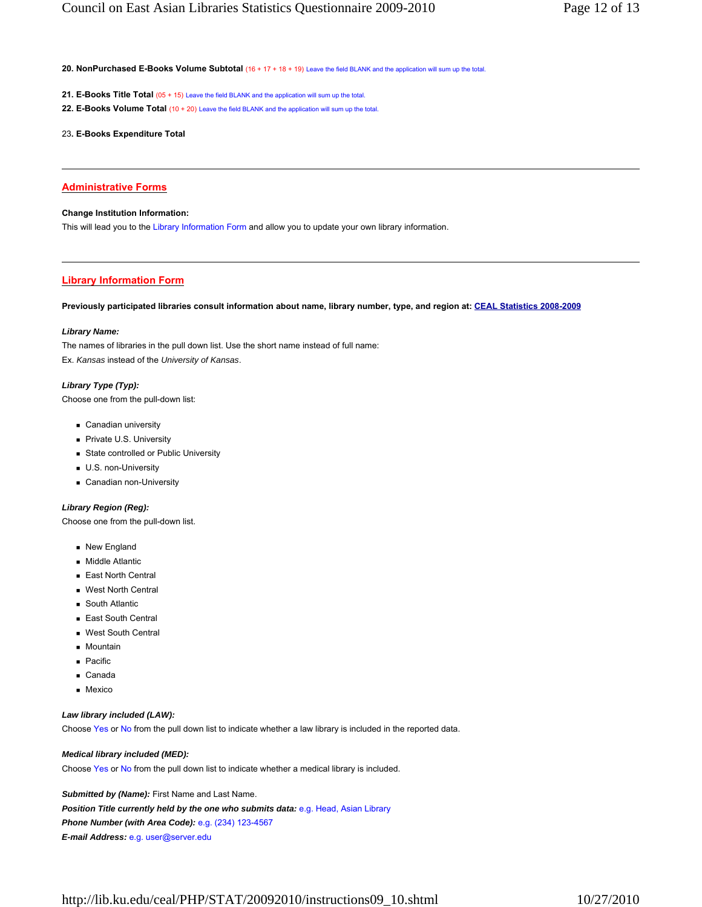20. NonPurchased E-Books Volume Subtotal (16 + 17 + 18 + 19) Leave the field BLANK and the application will sum up the total

- **21. E-Books Title Total** (05 + 15) Leave the field BLANK and the application will sum up the total.
- **22. E-Books Volume Total** (10 + 20) Leave the field BLANK and the application will sum up the total.
- 23**. E-Books Expenditure Total**

## **Administrative Forms**

## **Change Institution Information:**

This will lead you to the Library Information Form and allow you to update your own library information.

## **Library Information Form**

**Previously participated libraries consult information about name, library number, type, and region at: CEAL Statistics 2008-2009**

#### *Library Name:*

The names of libraries in the pull down list. Use the short name instead of full name: Ex. *Kansas* instead of the *University of Kansas*.

## *Library Type (Typ):*

Choose one from the pull-down list:

- **Canadian university**
- Private U.S. University
- **State controlled or Public University**
- **U.S. non-University**
- Canadian non-University

## *Library Region (Reg):*

Choose one from the pull-down list.

- New England
- **Middle Atlantic**
- East North Central
- West North Central
- **South Atlantic**
- East South Central
- West South Central
- **Mountain**
- **Pacific**
- Canada
- **Mexico**

#### *Law library included (LAW):*

Choose Yes or No from the pull down list to indicate whether a law library is included in the reported data.

## *Medical library included (MED):*

Choose Yes or No from the pull down list to indicate whether a medical library is included.

**Submitted by (Name):** First Name and Last Name. *Position Title currently held by the one who submits data:* e.g. Head, Asian Library *Phone Number (with Area Code):* e.g. (234) 123-4567 *E-mail Address:* e.g. user@server.edu